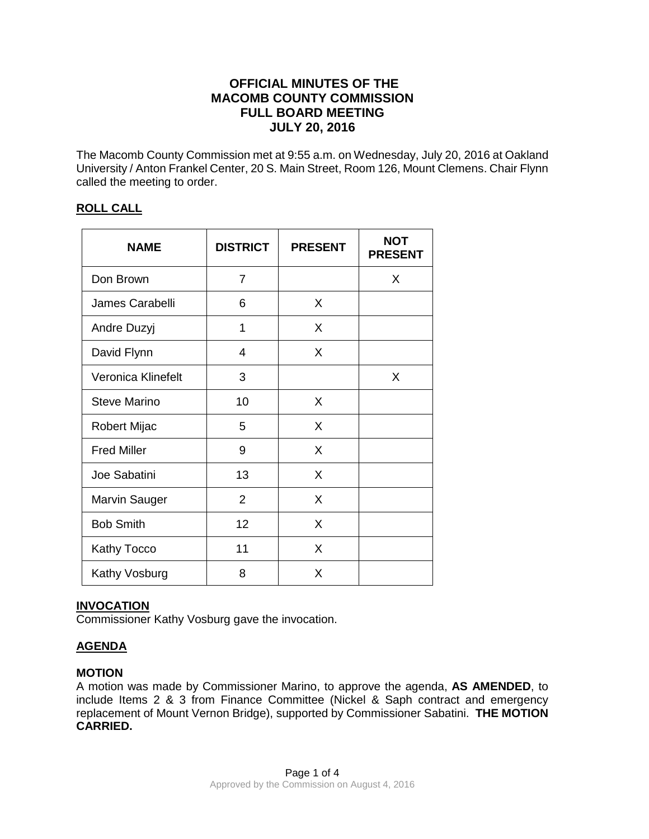# **OFFICIAL MINUTES OF THE MACOMB COUNTY COMMISSION FULL BOARD MEETING JULY 20, 2016**

The Macomb County Commission met at 9:55 a.m. on Wednesday, July 20, 2016 at Oakland University / Anton Frankel Center, 20 S. Main Street, Room 126, Mount Clemens. Chair Flynn called the meeting to order.

## **ROLL CALL**

| <b>NAME</b>          | <b>DISTRICT</b> | <b>PRESENT</b> | <b>NOT</b><br><b>PRESENT</b> |
|----------------------|-----------------|----------------|------------------------------|
| Don Brown            | $\overline{7}$  |                | X                            |
| James Carabelli      | 6               | X              |                              |
| Andre Duzyj          | 1               | X              |                              |
| David Flynn          | 4               | X              |                              |
| Veronica Klinefelt   | 3               |                | X                            |
| Steve Marino         | 10              | X              |                              |
| Robert Mijac         | 5               | X              |                              |
| <b>Fred Miller</b>   | 9               | X              |                              |
| Joe Sabatini         | 13              | X              |                              |
| <b>Marvin Sauger</b> | $\overline{2}$  | X              |                              |
| <b>Bob Smith</b>     | 12              | X              |                              |
| Kathy Tocco          | 11              | X              |                              |
| Kathy Vosburg        | 8               | X              |                              |

### **INVOCATION**

Commissioner Kathy Vosburg gave the invocation.

# **AGENDA**

### **MOTION**

A motion was made by Commissioner Marino, to approve the agenda, **AS AMENDED**, to include Items 2 & 3 from Finance Committee (Nickel & Saph contract and emergency replacement of Mount Vernon Bridge), supported by Commissioner Sabatini. **THE MOTION CARRIED.**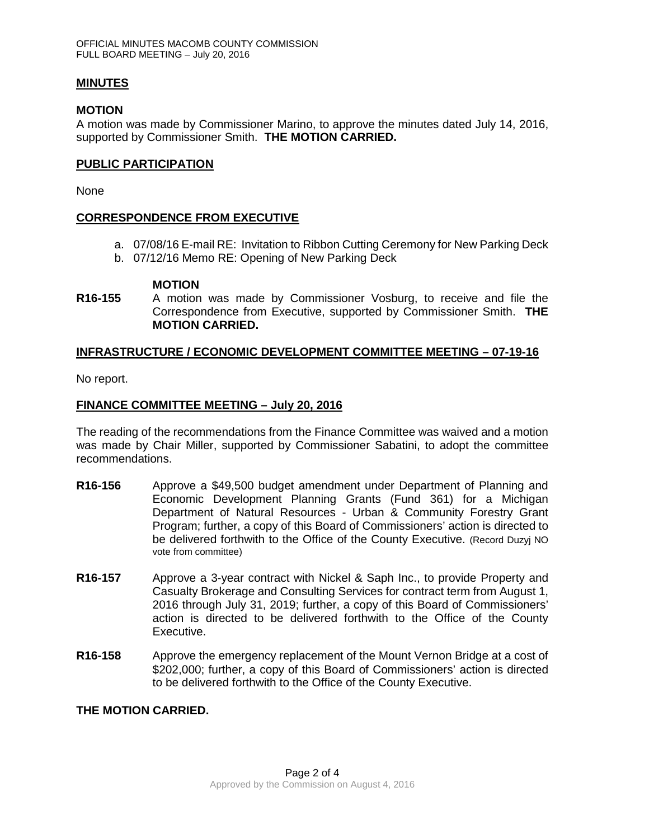#### **MINUTES**

#### **MOTION**

A motion was made by Commissioner Marino, to approve the minutes dated July 14, 2016, supported by Commissioner Smith. **THE MOTION CARRIED.** 

#### **PUBLIC PARTICIPATION**

None

### **CORRESPONDENCE FROM EXECUTIVE**

- a. 07/08/16 E-mail RE: Invitation to Ribbon Cutting Ceremony for New Parking Deck
- b. 07/12/16 Memo RE: Opening of New Parking Deck

#### **MOTION**

**R16-155** A motion was made by Commissioner Vosburg, to receive and file the Correspondence from Executive, supported by Commissioner Smith. **THE MOTION CARRIED.**

#### **INFRASTRUCTURE / ECONOMIC DEVELOPMENT COMMITTEE MEETING – 07-19-16**

No report.

#### **FINANCE COMMITTEE MEETING – July 20, 2016**

The reading of the recommendations from the Finance Committee was waived and a motion was made by Chair Miller, supported by Commissioner Sabatini, to adopt the committee recommendations.

- **R16-156** Approve a \$49,500 budget amendment under Department of Planning and Economic Development Planning Grants (Fund 361) for a Michigan Department of Natural Resources - Urban & Community Forestry Grant Program; further, a copy of this Board of Commissioners' action is directed to be delivered forthwith to the Office of the County Executive. (Record Duzyj NO vote from committee)
- **R16-157** Approve a 3-year contract with Nickel & Saph Inc., to provide Property and Casualty Brokerage and Consulting Services for contract term from August 1, 2016 through July 31, 2019; further, a copy of this Board of Commissioners' action is directed to be delivered forthwith to the Office of the County Executive.
- **R16-158** Approve the emergency replacement of the Mount Vernon Bridge at a cost of \$202,000; further, a copy of this Board of Commissioners' action is directed to be delivered forthwith to the Office of the County Executive.

### **THE MOTION CARRIED.**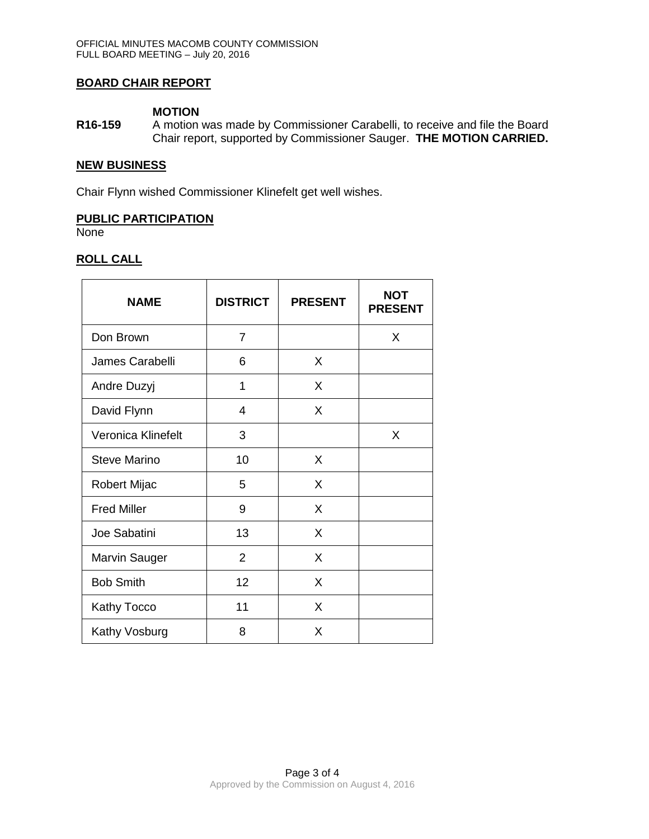### **BOARD CHAIR REPORT**

### **MOTION**

**R16-159** A motion was made by Commissioner Carabelli, to receive and file the Board Chair report, supported by Commissioner Sauger. **THE MOTION CARRIED.**

#### **NEW BUSINESS**

Chair Flynn wished Commissioner Klinefelt get well wishes.

### **PUBLIC PARTICIPATION**

None

# **ROLL CALL**

| <b>NAME</b>         | <b>DISTRICT</b> | <b>PRESENT</b> | <b>NOT</b><br><b>PRESENT</b> |
|---------------------|-----------------|----------------|------------------------------|
| Don Brown           | $\overline{7}$  |                | X                            |
| James Carabelli     | 6               | X              |                              |
| Andre Duzyj         | 1               | X              |                              |
| David Flynn         | 4               | X              |                              |
| Veronica Klinefelt  | 3               |                | X                            |
| <b>Steve Marino</b> | 10              | X              |                              |
| Robert Mijac        | 5               | X              |                              |
| <b>Fred Miller</b>  | 9               | X              |                              |
| Joe Sabatini        | 13              | X              |                              |
| Marvin Sauger       | $\overline{2}$  | X              |                              |
| <b>Bob Smith</b>    | 12              | X              |                              |
| Kathy Tocco         | 11              | X              |                              |
| Kathy Vosburg       | 8               | X              |                              |